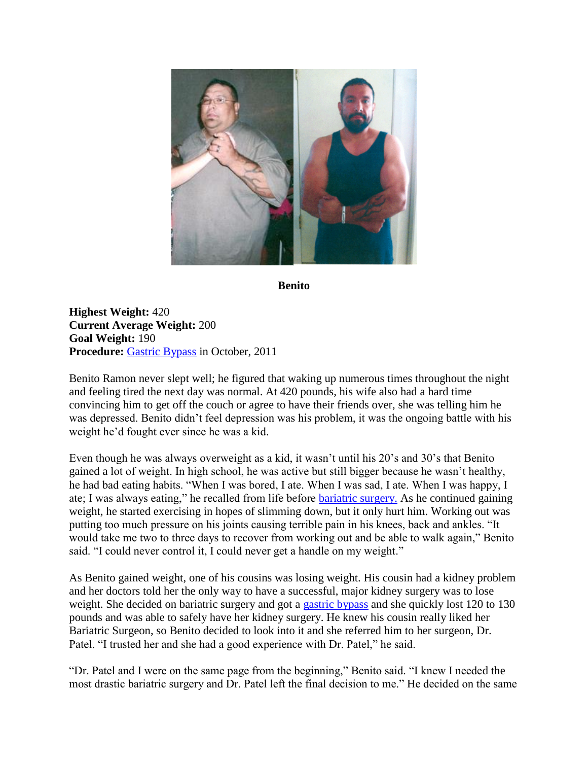

**Benito**

**Highest Weight:** 420 **Current Average Weight:** 200 **Goal Weight:** 190 **Procedure:** [Gastric Bypass](http://texasbariatricspecialists.com/gastric-bypass-surgery-san-antonio) in October, 2011

Benito Ramon never slept well; he figured that waking up numerous times throughout the night and feeling tired the next day was normal. At 420 pounds, his wife also had a hard time convincing him to get off the couch or agree to have their friends over, she was telling him he was depressed. Benito didn't feel depression was his problem, it was the ongoing battle with his weight he'd fought ever since he was a kid.

Even though he was always overweight as a kid, it wasn't until his 20's and 30's that Benito gained a lot of weight. In high school, he was active but still bigger because he wasn't healthy, he had bad eating habits. "When I was bored, I ate. When I was sad, I ate. When I was happy, I ate; I was always eating," he recalled from life before [bariatric surgery.](http://texasbariatricspecialists.com/bariatric-surgery-san-antonio-2) As he continued gaining weight, he started exercising in hopes of slimming down, but it only hurt him. Working out was putting too much pressure on his joints causing terrible pain in his knees, back and ankles. "It would take me two to three days to recover from working out and be able to walk again," Benito said. "I could never control it, I could never get a handle on my weight."

As Benito gained weight, one of his cousins was losing weight. His cousin had a kidney problem and her doctors told her the only way to have a successful, major kidney surgery was to lose weight. She decided on bariatric surgery and got a [gastric bypass](http://texasbariatricspecialists.com/gastric-bypass-surgery-san-antonio) and she quickly lost 120 to 130 pounds and was able to safely have her kidney surgery. He knew his cousin really liked her Bariatric Surgeon, so Benito decided to look into it and she referred him to her surgeon, Dr. Patel. "I trusted her and she had a good experience with Dr. Patel," he said.

"Dr. Patel and I were on the same page from the beginning," Benito said. "I knew I needed the most drastic bariatric surgery and Dr. Patel left the final decision to me." He decided on the same